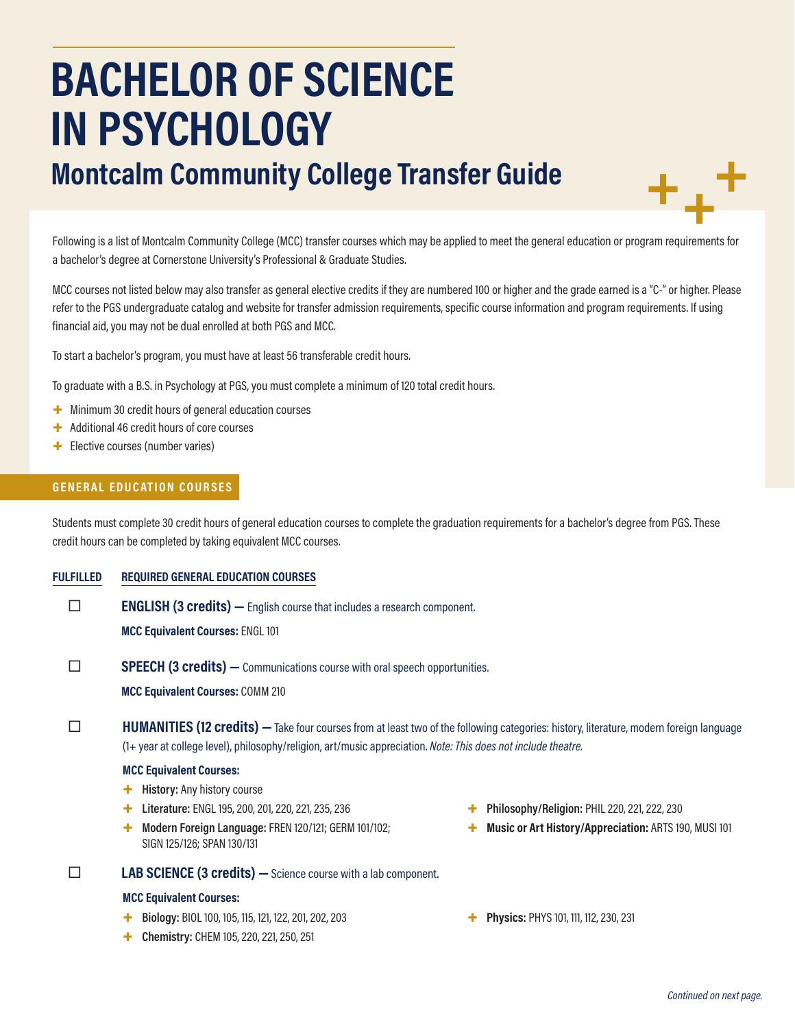# **BACHELOR OF SCIENCE IN PSYCHOLOGY**

# **Montcalm Community College Transfer Guide**

Following is a list of Montcalm Community College (MCC) transfer courses which may be applied to meet the general education or program requirements for a bachelor's degree at Cornerstone University's Professional & Graduate Studies.

MCC courses not listed below may also transfer as general elective credits if they are numbered 100 or higher and the grade earned is a "C-" or higher. Please refer to the PGS undergraduate catalog and website for transfer admission requirements, specific course information and program requirements. If using financial aid, you may not be dual enrolled at both PGS and MCC.

To start a bachelor's program, you must have at least 56 transferable credit hours.

To graduate with a B.S. in Psychology at PGS, you must complete a minimum of 120 total credit hours.

- + Minimum 30 credit hours of general education courses
- + Additional 46 credit hours of core courses
- + Elective courses (number varies)

### **GENERAL EDUCATION COURSES**

Students must complete 30 credit hours of general education courses to complete the graduation requirements for a bachelor's degree from PGS. These credit hours can be completed by taking equivalent MCC courses.

**FULFILLED REQUIRED GENERAL EDUCATION COURSES**

**ENGLISH (3 credits)** — English course that includes a research component.

**MCC Equivalent Courses:** ENGL 101

**SPEECH (3 credits)** — Communications course with oral speech opportunities.

**MCC Equivalent Courses:** COMM 210

**HUMANITIES (12 credits)** — Take four courses from at least two of the following categories: history, literature, modern foreign language (1+ year at college level), philosophy/religion, art/music appreciation. *Note: This does not include theatre.*

#### **MCC Equivalent Courses:**

- + **History:** Any history course
- + **Literature:** ENGL 195, 200, 201, 220, 221, 235, 236
- + **Modern Foreign Language:** FREN 120/121; GERM 101/102; SIGN 125/126; SPAN 130/131

## **LAB SCIENCE (3 credits) —**Science course with a lab component.

#### **MCC Equivalent Courses:**

- + **Biology:** BIOL 100, 105, 115, 121, 122, 201, 202, 203
- + **Chemistry:** CHEM 105, 220, 221, 250, 251
- + **Philosophy/Religion:** PHIL 220, 221, 222, 230
- + **Music or Art History/Appreciation:** ARTS 190, MUSI 101
- + **Physics:** PHYS 101, 111, 112, 230, 231